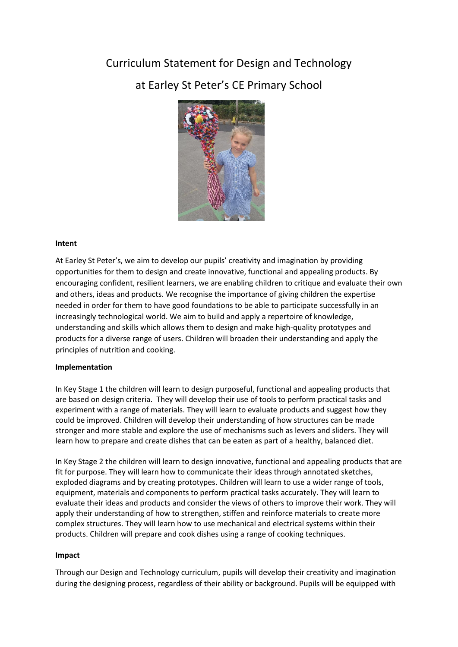## Curriculum Statement for Design and Technology

# at Earley St Peter's CE Primary School



### **Intent**

At Earley St Peter's, we aim to develop our pupils' creativity and imagination by providing opportunities for them to design and create innovative, functional and appealing products. By encouraging confident, resilient learners, we are enabling children to critique and evaluate their own and others, ideas and products. We recognise the importance of giving children the expertise needed in order for them to have good foundations to be able to participate successfully in an increasingly technological world. We aim to build and apply a repertoire of knowledge, understanding and skills which allows them to design and make high-quality prototypes and products for a diverse range of users. Children will broaden their understanding and apply the principles of nutrition and cooking.

#### **Implementation**

In Key Stage 1 the children will learn to design purposeful, functional and appealing products that are based on design criteria. They will develop their use of tools to perform practical tasks and experiment with a range of materials. They will learn to evaluate products and suggest how they could be improved. Children will develop their understanding of how structures can be made stronger and more stable and explore the use of mechanisms such as levers and sliders. They will learn how to prepare and create dishes that can be eaten as part of a healthy, balanced diet.

In Key Stage 2 the children will learn to design innovative, functional and appealing products that are fit for purpose. They will learn how to communicate their ideas through annotated sketches, exploded diagrams and by creating prototypes. Children will learn to use a wider range of tools, equipment, materials and components to perform practical tasks accurately. They will learn to evaluate their ideas and products and consider the views of others to improve their work. They will apply their understanding of how to strengthen, stiffen and reinforce materials to create more complex structures. They will learn how to use mechanical and electrical systems within their products. Children will prepare and cook dishes using a range of cooking techniques.

#### **Impact**

Through our Design and Technology curriculum, pupils will develop their creativity and imagination during the designing process, regardless of their ability or background. Pupils will be equipped with